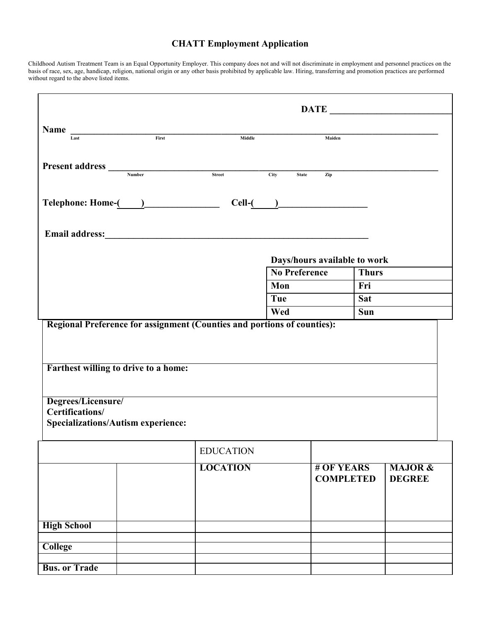## **CHATT Employment Application**

Childhood Autism Treatment Team is an Equal Opportunity Employer. This company does not and will not discriminate in employment and personnel practices on the basis of race, sex, age, handicap, religion, national origin or any other basis prohibited by applicable law. Hiring, transferring and promotion practices are performed without regard to the above listed items.

|                                                                                    |                  |             | $\overline{\text{DATE}}$       |              |                                     |
|------------------------------------------------------------------------------------|------------------|-------------|--------------------------------|--------------|-------------------------------------|
| Name $\frac{1}{1 + 1}$                                                             | Middle           |             | Maiden                         |              |                                     |
|                                                                                    |                  |             |                                |              |                                     |
| Present address <u>Number</u>                                                      | Street           | <b>City</b> | <b>State</b><br>Zip            |              |                                     |
|                                                                                    |                  |             | $Cell$ - $\qquad \qquad$       |              |                                     |
|                                                                                    |                  |             |                                |              |                                     |
|                                                                                    |                  |             | Days/hours available to work   |              |                                     |
|                                                                                    |                  |             | <b>No Preference</b>           | <b>Thurs</b> |                                     |
|                                                                                    |                  | Mon         |                                | Fri          |                                     |
|                                                                                    |                  | Tue         |                                | <b>Sat</b>   |                                     |
| Regional Preference for assignment (Counties and portions of counties):            |                  | Wed         |                                | Sun          |                                     |
| Farthest willing to drive to a home:                                               |                  |             |                                |              |                                     |
| Degrees/Licensure/<br>Certifications/<br><b>Specializations/Autism experience:</b> |                  |             |                                |              |                                     |
|                                                                                    | <b>EDUCATION</b> |             |                                |              |                                     |
|                                                                                    | <b>LOCATION</b>  |             | # OF YEARS<br><b>COMPLETED</b> |              | <b>MAJOR &amp;</b><br><b>DEGREE</b> |
| <b>High School</b>                                                                 |                  |             |                                |              |                                     |
| <b>College</b>                                                                     |                  |             |                                |              |                                     |
| <b>Bus. or Trade</b>                                                               |                  |             |                                |              |                                     |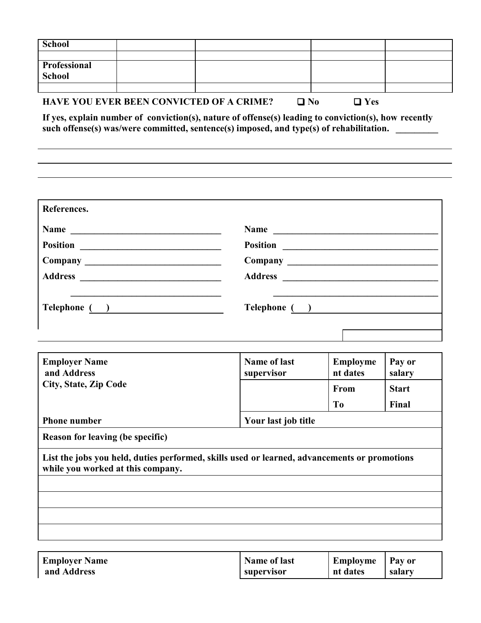| <b>School</b>                     |               |                                                                                                                                                                                                 |                         |              |  |  |
|-----------------------------------|---------------|-------------------------------------------------------------------------------------------------------------------------------------------------------------------------------------------------|-------------------------|--------------|--|--|
| <b>Professional</b>               |               |                                                                                                                                                                                                 |                         |              |  |  |
| <b>School</b>                     |               |                                                                                                                                                                                                 |                         |              |  |  |
|                                   |               | <b>HAVE YOU EVER BEEN CONVICTED OF A CRIME?</b>                                                                                                                                                 | $\Box$ No<br>$\Box$ Yes |              |  |  |
|                                   |               | If yes, explain number of conviction(s), nature of offense(s) leading to conviction(s), how recently<br>such offense(s) was/were committed, sentence(s) imposed, and type(s) of rehabilitation. |                         |              |  |  |
|                                   |               |                                                                                                                                                                                                 |                         |              |  |  |
| References.                       |               |                                                                                                                                                                                                 |                         |              |  |  |
|                                   | Name          |                                                                                                                                                                                                 | Name                    |              |  |  |
|                                   |               |                                                                                                                                                                                                 |                         |              |  |  |
|                                   |               |                                                                                                                                                                                                 |                         |              |  |  |
|                                   |               |                                                                                                                                                                                                 |                         |              |  |  |
|                                   | Telephone ( ) |                                                                                                                                                                                                 | Telephone ( )           |              |  |  |
| <b>Employer Name</b>              |               | <b>Name of last</b>                                                                                                                                                                             | <b>Employme</b>         | Pay or       |  |  |
| and Address                       |               | supervisor                                                                                                                                                                                      | nt dates                | salary       |  |  |
| <b>City, State, Zip Code</b>      |               |                                                                                                                                                                                                 | <b>From</b>             | <b>Start</b> |  |  |
|                                   |               |                                                                                                                                                                                                 | T <sub>0</sub>          | Final        |  |  |
| <b>Phone number</b>               |               |                                                                                                                                                                                                 | Your last job title     |              |  |  |
| Reason for leaving (be specific)  |               |                                                                                                                                                                                                 |                         |              |  |  |
| while you worked at this company. |               | List the jobs you held, duties performed, skills used or learned, advancements or promotions                                                                                                    |                         |              |  |  |
|                                   |               |                                                                                                                                                                                                 |                         |              |  |  |
|                                   |               |                                                                                                                                                                                                 |                         |              |  |  |
|                                   |               |                                                                                                                                                                                                 |                         |              |  |  |
| <b>Employer Name</b>              |               | <b>Name of last</b>                                                                                                                                                                             | <b>Employme</b>         | Pay or       |  |  |
| and Address                       |               | supervisor                                                                                                                                                                                      | nt dates                | salary       |  |  |

| ешрюуст тап |  |
|-------------|--|
| and Address |  |

| <b>Name of last</b> | Employme   Pay or |        |
|---------------------|-------------------|--------|
| supervisor          | nt dates          | salary |